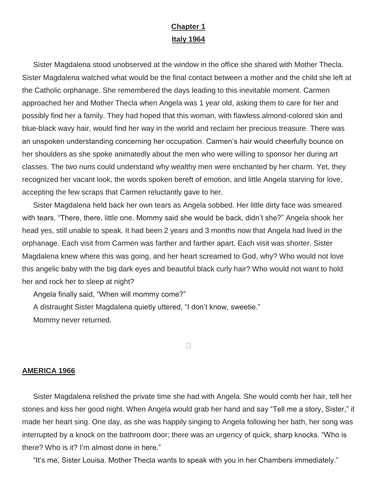## **Chapter 1 Italy 1964**

Sister Magdalena stood unobserved at the window in the office she shared with Mother Thecla. Sister Magdalena watched what would be the final contact between a mother and the child she left at the Catholic orphanage. She remembered the days leading to this inevitable moment. Carmen approached her and Mother Thecla when Angela was 1 year old, asking them to care for her and possibly find her a family. They had hoped that this woman, with flawless almond-colored skin and blue-black wavy hair, would find her way in the world and reclaim her precious treasure. There was an unspoken understanding concerning her occupation. Carmen's hair would cheerfully bounce on her shoulders as she spoke animatedly about the men who were willing to sponsor her during art classes. The two nuns could understand why wealthy men were enchanted by her charm. Yet, they recognized her vacant look, the words spoken bereft of emotion, and little Angela starving for love, accepting the few scraps that Carmen reluctantly gave to her.

Sister Magdalena held back her own tears as Angela sobbed. Her little dirty face was smeared with tears. "There, there, little one. Mommy said she would be back, didn't she?" Angela shook her head yes, still unable to speak. It had been 2 years and 3 months now that Angela had lived in the orphanage. Each visit from Carmen was farther and farther apart. Each visit was shorter. Sister Magdalena knew where this was going, and her heart screamed to God, why? Who would not love this angelic baby with the big dark eyes and beautiful black curly hair? Who would not want to hold her and rock her to sleep at night?

Angela finally said, "When will mommy come?"

A distraught Sister Magdalena quietly uttered, "I don't know, sweetie."

Mommy never returned.

 $\Box$ 

## **AMERICA 1966**

Sister Magdalena relished the private time she had with Angela. She would comb her hair, tell her stories and kiss her good night. When Angela would grab her hand and say "Tell me a story, Sister," it made her heart sing. One day, as she was happily singing to Angela following her bath, her song was interrupted by a knock on the bathroom door; there was an urgency of quick, sharp knocks. "Who is there? Who is it? I'm almost done in here."

"It's me, Sister Louisa. Mother Thecla wants to speak with you in her Chambers immediately."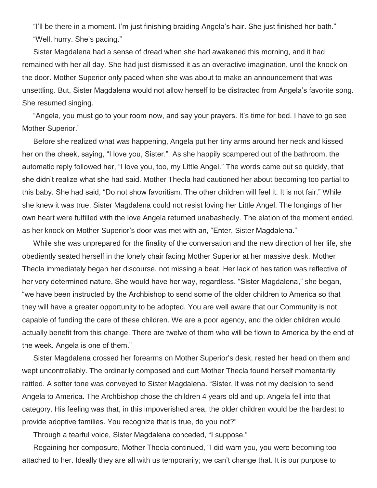"I'll be there in a moment. I'm just finishing braiding Angela's hair. She just finished her bath." "Well, hurry. She's pacing."

Sister Magdalena had a sense of dread when she had awakened this morning, and it had remained with her all day. She had just dismissed it as an overactive imagination, until the knock on the door. Mother Superior only paced when she was about to make an announcement that was unsettling. But, Sister Magdalena would not allow herself to be distracted from Angela's favorite song. She resumed singing.

"Angela, you must go to your room now, and say your prayers. It's time for bed. I have to go see Mother Superior."

Before she realized what was happening, Angela put her tiny arms around her neck and kissed her on the cheek, saying, "I love you, Sister." As she happily scampered out of the bathroom, the automatic reply followed her, "I love you, too, my Little Angel." The words came out so quickly, that she didn't realize what she had said. Mother Thecla had cautioned her about becoming too partial to this baby. She had said, "Do not show favoritism. The other children will feel it. It is not fair." While she knew it was true, Sister Magdalena could not resist loving her Little Angel. The longings of her own heart were fulfilled with the love Angela returned unabashedly. The elation of the moment ended, as her knock on Mother Superior's door was met with an, "Enter, Sister Magdalena."

While she was unprepared for the finality of the conversation and the new direction of her life, she obediently seated herself in the lonely chair facing Mother Superior at her massive desk. Mother Thecla immediately began her discourse, not missing a beat. Her lack of hesitation was reflective of her very determined nature. She would have her way, regardless. "Sister Magdalena," she began, "we have been instructed by the Archbishop to send some of the older children to America so that they will have a greater opportunity to be adopted. You are well aware that our Community is not capable of funding the care of these children. We are a poor agency, and the older children would actually benefit from this change. There are twelve of them who will be flown to America by the end of the week. Angela is one of them."

Sister Magdalena crossed her forearms on Mother Superior's desk, rested her head on them and wept uncontrollably. The ordinarily composed and curt Mother Thecla found herself momentarily rattled. A softer tone was conveyed to Sister Magdalena. "Sister, it was not my decision to send Angela to America. The Archbishop chose the children 4 years old and up. Angela fell into that category. His feeling was that, in this impoverished area, the older children would be the hardest to provide adoptive families. You recognize that is true, do you not?"

Through a tearful voice, Sister Magdalena conceded, "I suppose."

Regaining her composure, Mother Thecla continued, "I did warn you, you were becoming too attached to her. Ideally they are all with us temporarily; we can't change that. It is our purpose to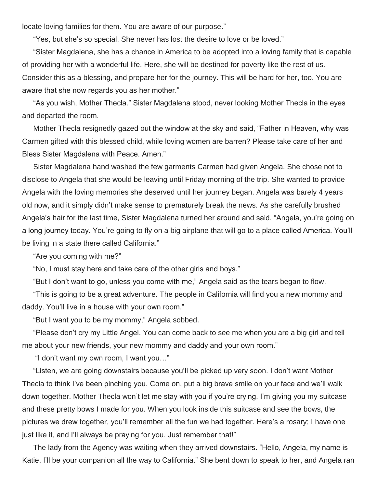locate loving families for them. You are aware of our purpose."

"Yes, but she's so special. She never has lost the desire to love or be loved."

"Sister Magdalena, she has a chance in America to be adopted into a loving family that is capable of providing her with a wonderful life. Here, she will be destined for poverty like the rest of us. Consider this as a blessing, and prepare her for the journey. This will be hard for her, too. You are aware that she now regards you as her mother."

"As you wish, Mother Thecla." Sister Magdalena stood, never looking Mother Thecla in the eyes and departed the room.

Mother Thecla resignedly gazed out the window at the sky and said, "Father in Heaven, why was Carmen gifted with this blessed child, while loving women are barren? Please take care of her and Bless Sister Magdalena with Peace. Amen."

Sister Magdalena hand washed the few garments Carmen had given Angela. She chose not to disclose to Angela that she would be leaving until Friday morning of the trip. She wanted to provide Angela with the loving memories she deserved until her journey began. Angela was barely 4 years old now, and it simply didn't make sense to prematurely break the news. As she carefully brushed Angela's hair for the last time, Sister Magdalena turned her around and said, "Angela, you're going on a long journey today. You're going to fly on a big airplane that will go to a place called America. You'll be living in a state there called California."

"Are you coming with me?"

"No, I must stay here and take care of the other girls and boys."

"But I don't want to go, unless you come with me," Angela said as the tears began to flow.

"This is going to be a great adventure. The people in California will find you a new mommy and daddy. You'll live in a house with your own room."

"But I want you to be my mommy," Angela sobbed.

"Please don't cry my Little Angel. You can come back to see me when you are a big girl and tell me about your new friends, your new mommy and daddy and your own room."

"I don't want my own room, I want you…"

"Listen, we are going downstairs because you'll be picked up very soon. I don't want Mother Thecla to think I've been pinching you. Come on, put a big brave smile on your face and we'll walk down together. Mother Thecla won't let me stay with you if you're crying. I'm giving you my suitcase and these pretty bows I made for you. When you look inside this suitcase and see the bows, the pictures we drew together, you'll remember all the fun we had together. Here's a rosary; I have one just like it, and I'll always be praying for you. Just remember that!"

The lady from the Agency was waiting when they arrived downstairs. "Hello, Angela, my name is Katie. I'll be your companion all the way to California." She bent down to speak to her, and Angela ran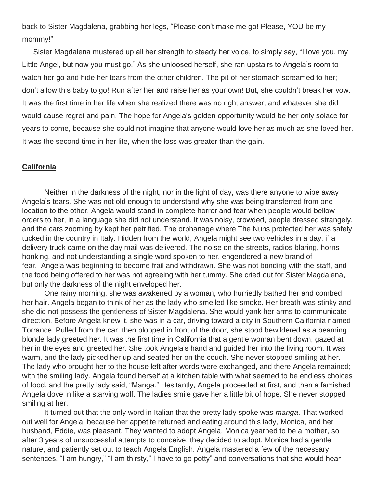back to Sister Magdalena, grabbing her legs, "Please don't make me go! Please, YOU be my mommy!"

Sister Magdalena mustered up all her strength to steady her voice, to simply say, "I love you, my Little Angel, but now you must go." As she unloosed herself, she ran upstairs to Angela's room to watch her go and hide her tears from the other children. The pit of her stomach screamed to her; don't allow this baby to go! Run after her and raise her as your own! But, she couldn't break her vow. It was the first time in her life when she realized there was no right answer, and whatever she did would cause regret and pain. The hope for Angela's golden opportunity would be her only solace for years to come, because she could not imagine that anyone would love her as much as she loved her. It was the second time in her life, when the loss was greater than the gain.

## **California**

Neither in the darkness of the night, nor in the light of day, was there anyone to wipe away Angela's tears. She was not old enough to understand why she was being transferred from one location to the other. Angela would stand in complete horror and fear when people would bellow orders to her, in a language she did not understand. It was noisy, crowded, people dressed strangely, and the cars zooming by kept her petrified. The orphanage where The Nuns protected her was safely tucked in the country in Italy. Hidden from the world, Angela might see two vehicles in a day, if a delivery truck came on the day mail was delivered. The noise on the streets, radios blaring, horns honking, and not understanding a single word spoken to her, engendered a new brand of fear. Angela was beginning to become frail and withdrawn. She was not bonding with the staff, and the food being offered to her was not agreeing with her tummy. She cried out for Sister Magdalena, but only the darkness of the night enveloped her.

One rainy morning, she was awakened by a woman, who hurriedly bathed her and combed her hair. Angela began to think of her as the lady who smelled like smoke. Her breath was stinky and she did not possess the gentleness of Sister Magdalena. She would yank her arms to communicate direction. Before Angela knew it, she was in a car, driving toward a city in Southern California named Torrance. Pulled from the car, then plopped in front of the door, she stood bewildered as a beaming blonde lady greeted her. It was the first time in California that a gentle woman bent down, gazed at her in the eyes and greeted her. She took Angela's hand and guided her into the living room. It was warm, and the lady picked her up and seated her on the couch. She never stopped smiling at her. The lady who brought her to the house left after words were exchanged, and there Angela remained; with the smiling lady. Angela found herself at a kitchen table with what seemed to be endless choices of food, and the pretty lady said, "Manga." Hesitantly, Angela proceeded at first, and then a famished Angela dove in like a starving wolf. The ladies smile gave her a little bit of hope. She never stopped smiling at her.

It turned out that the only word in Italian that the pretty lady spoke was *manga*. That worked out well for Angela, because her appetite returned and eating around this lady, Monica, and her husband, Eddie, was pleasant. They wanted to adopt Angela. Monica yearned to be a mother, so after 3 years of unsuccessful attempts to conceive, they decided to adopt. Monica had a gentle nature, and patiently set out to teach Angela English. Angela mastered a few of the necessary sentences, "I am hungry," "I am thirsty," I have to go potty" and conversations that she would hear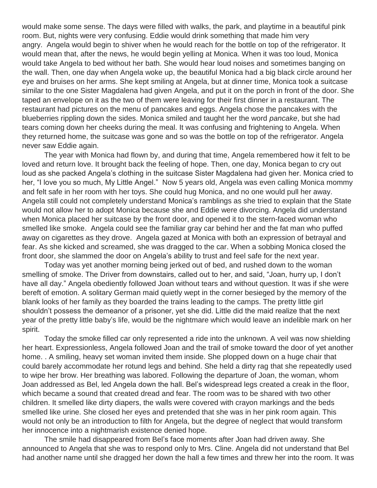would make some sense. The days were filled with walks, the park, and playtime in a beautiful pink room. But, nights were very confusing. Eddie would drink something that made him very angry. Angela would begin to shiver when he would reach for the bottle on top of the refrigerator. It would mean that, after the news, he would begin yelling at Monica. When it was too loud, Monica would take Angela to bed without her bath. She would hear loud noises and sometimes banging on the wall. Then, one day when Angela woke up, the beautiful Monica had a big black circle around her eye and bruises on her arms. She kept smiling at Angela, but at dinner time, Monica took a suitcase similar to the one Sister Magdalena had given Angela, and put it on the porch in front of the door. She taped an envelope on it as the two of them were leaving for their first dinner in a restaurant. The restaurant had pictures on the menu of pancakes and eggs. Angela chose the pancakes with the blueberries rippling down the sides. Monica smiled and taught her the word *pancake*, but she had tears coming down her cheeks during the meal. It was confusing and frightening to Angela. When they returned home, the suitcase was gone and so was the bottle on top of the refrigerator. Angela never saw Eddie again.

The year with Monica had flown by, and during that time, Angela remembered how it felt to be loved and return love. It brought back the feeling of hope. Then, one day, Monica began to cry out loud as she packed Angela's clothing in the suitcase Sister Magdalena had given her. Monica cried to her, "I love you so much, My Little Angel." Now 5 years old, Angela was even calling Monica mommy and felt safe in her room with her toys. She could hug Monica, and no one would pull her away. Angela still could not completely understand Monica's ramblings as she tried to explain that the State would not allow her to adopt Monica because she and Eddie were divorcing. Angela did understand when Monica placed her suitcase by the front door, and opened it to the stern-faced woman who smelled like smoke. Angela could see the familiar gray car behind her and the fat man who puffed away on cigarettes as they drove. Angela gazed at Monica with both an expression of betrayal and fear. As she kicked and screamed, she was dragged to the car. When a sobbing Monica closed the front door, she slammed the door on Angela's ability to trust and feel safe for the next year.

Today was yet another morning being jerked out of bed, and rushed down to the woman smelling of smoke. The Driver from downstairs, called out to her, and said, "Joan, hurry up, I don't have all day." Angela obediently followed Joan without tears and without question. It was if she were bereft of emotion. A solitary German maid quietly wept in the corner besieged by the memory of the blank looks of her family as they boarded the trains leading to the camps. The pretty little girl shouldn't possess the demeanor of a prisoner, yet she did. Little did the maid realize that the next year of the pretty little baby's life, would be the nightmare which would leave an indelible mark on her spirit.

Today the smoke filled car only represented a ride into the unknown. A veil was now shielding her heart. Expressionless, Angela followed Joan and the trail of smoke toward the door of yet another home. . A smiling, heavy set woman invited them inside. She plopped down on a huge chair that could barely accommodate her rotund legs and behind. She held a dirty rag that she repeatedly used to wipe her brow. Her breathing was labored. Following the departure of Joan, the woman, whom Joan addressed as Bel, led Angela down the hall. Bel's widespread legs created a creak in the floor, which became a sound that created dread and fear. The room was to be shared with two other children. It smelled like dirty diapers, the walls were covered with crayon markings and the beds smelled like urine. She closed her eyes and pretended that she was in her pink room again. This would not only be an introduction to filth for Angela, but the degree of neglect that would transform her innocence into a nightmarish existence denied hope.

The smile had disappeared from Bel's face moments after Joan had driven away. She announced to Angela that she was to respond only to Mrs. Cline. Angela did not understand that Bel had another name until she dragged her down the hall a few times and threw her into the room. It was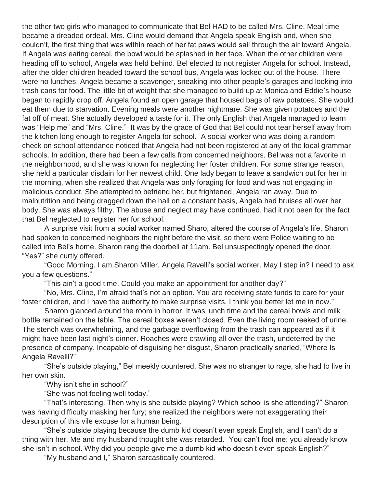the other two girls who managed to communicate that Bel HAD to be called Mrs. Cline. Meal time became a dreaded ordeal. Mrs. Cline would demand that Angela speak English and, when she couldn't, the first thing that was within reach of her fat paws would sail through the air toward Angela. If Angela was eating cereal, the bowl would be splashed in her face. When the other children were heading off to school, Angela was held behind. Bel elected to not register Angela for school. Instead, after the older children headed toward the school bus, Angela was locked out of the house. There were no lunches. Angela became a scavenger, sneaking into other people's garages and looking into trash cans for food. The little bit of weight that she managed to build up at Monica and Eddie's house began to rapidly drop off. Angela found an open garage that housed bags of raw potatoes. She would eat them due to starvation. Evening meals were another nightmare. She was given potatoes and the fat off of meat. She actually developed a taste for it. The only English that Angela managed to learn was "Help me" and "Mrs. Cline." It was by the grace of God that Bel could not tear herself away from the kitchen long enough to register Angela for school. A social worker who was doing a random check on school attendance noticed that Angela had not been registered at any of the local grammar schools. In addition, there had been a few calls from concerned neighbors. Bel was not a favorite in the neighborhood, and she was known for neglecting her foster children. For some strange reason, she held a particular disdain for her newest child. One lady began to leave a sandwich out for her in the morning, when she realized that Angela was only foraging for food and was not engaging in malicious conduct. She attempted to befriend her, but frightened, Angela ran away. Due to malnutrition and being dragged down the hall on a constant basis, Angela had bruises all over her body. She was always filthy. The abuse and neglect may have continued, had it not been for the fact that Bel neglected to register her for school.

A surprise visit from a social worker named Sharo, altered the course of Angela's life. Sharon had spoken to concerned neighbors the night before the visit, so there were Police waiting to be called into Bel's home. Sharon rang the doorbell at 11am. Bel unsuspectingly opened the door. "Yes?" she curtly offered.

"Good Morning. I am Sharon Miller, Angela Ravelli's social worker. May I step in? I need to ask you a few questions."

"This ain't a good time. Could you make an appointment for another day?"

"No, Mrs. Cline, I'm afraid that's not an option. You are receiving state funds to care for your foster children, and I have the authority to make surprise visits. I think you better let me in now."

Sharon glanced around the room in horror. It was lunch time and the cereal bowls and milk bottle remained on the table. The cereal boxes weren't closed. Even the living room reeked of urine. The stench was overwhelming, and the garbage overflowing from the trash can appeared as if it might have been last night's dinner. Roaches were crawling all over the trash, undeterred by the presence of company. Incapable of disguising her disgust, Sharon practically snarled, "Where Is Angela Ravelli?"

"She's outside playing," Bel meekly countered. She was no stranger to rage, she had to live in her own skin.

"Why isn't she in school?"

"She was not feeling well today."

"That's interesting. Then why is she outside playing? Which school is she attending?" Sharon was having difficulty masking her fury; she realized the neighbors were not exaggerating their description of this vile excuse for a human being.

"She's outside playing because the dumb kid doesn't even speak English, and I can't do a thing with her. Me and my husband thought she was retarded. You can't fool me; you already know she isn't in school. Why did you people give me a dumb kid who doesn't even speak English?"

"My husband and I," Sharon sarcastically countered.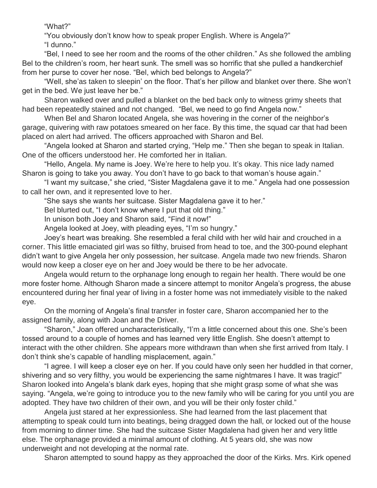"What?"

"You obviously don't know how to speak proper English. Where is Angela?" "I dunno."

"Bel, I need to see her room and the rooms of the other children." As she followed the ambling Bel to the children's room, her heart sunk. The smell was so horrific that she pulled a handkerchief from her purse to cover her nose. "Bel, which bed belongs to Angela?"

"Well, she'as taken to sleepin' on the floor. That's her pillow and blanket over there. She won't get in the bed. We just leave her be."

Sharon walked over and pulled a blanket on the bed back only to witness grimy sheets that had been repeatedly stained and not changed. "Bel, we need to go find Angela now."

When Bel and Sharon located Angela, she was hovering in the corner of the neighbor's garage, quivering with raw potatoes smeared on her face. By this time, the squad car that had been placed on alert had arrived. The officers approached with Sharon and Bel.

"Angela looked at Sharon and started crying, "Help me." Then she began to speak in Italian. One of the officers understood her. He comforted her in Italian.

"Hello, Angela. My name is Joey. We're here to help you. It's okay. This nice lady named Sharon is going to take you away. You don't have to go back to that woman's house again."

"I want my suitcase," she cried, "Sister Magdalena gave it to me." Angela had one possession to call her own, and it represented love to her.

"She says she wants her suitcase. Sister Magdalena gave it to her."

Bel blurted out, "I don't know where I put that old thing."

In unison both Joey and Sharon said, "Find it now!"

Angela looked at Joey, with pleading eyes, "I'm so hungry."

Joey's heart was breaking. She resembled a feral child with her wild hair and crouched in a corner. This little emaciated girl was so filthy, bruised from head to toe, and the 300-pound elephant didn't want to give Angela her only possession, her suitcase. Angela made two new friends. Sharon would now keep a closer eye on her and Joey would be there to be her advocate.

Angela would return to the orphanage long enough to regain her health. There would be one more foster home. Although Sharon made a sincere attempt to monitor Angela's progress, the abuse encountered during her final year of living in a foster home was not immediately visible to the naked eye.

On the morning of Angela's final transfer in foster care, Sharon accompanied her to the assigned family, along with Joan and the Driver.

"Sharon," Joan offered uncharacteristically, "I'm a little concerned about this one. She's been tossed around to a couple of homes and has learned very little English. She doesn't attempt to interact with the other children. She appears more withdrawn than when she first arrived from Italy. I don't think she's capable of handling misplacement, again."

"I agree. I will keep a closer eye on her. If you could have only seen her huddled in that corner, shivering and so very filthy, you would be experiencing the same nightmares I have. It was tragic!" Sharon looked into Angela's blank dark eyes, hoping that she might grasp some of what she was saying. "Angela, we're going to introduce you to the new family who will be caring for you until you are adopted. They have two children of their own, and you will be their only foster child."

Angela just stared at her expressionless. She had learned from the last placement that attempting to speak could turn into beatings, being dragged down the hall, or locked out of the house from morning to dinner time. She had the suitcase Sister Magdalena had given her and very little else. The orphanage provided a minimal amount of clothing. At 5 years old, she was now underweight and not developing at the normal rate.

Sharon attempted to sound happy as they approached the door of the Kirks. Mrs. Kirk opened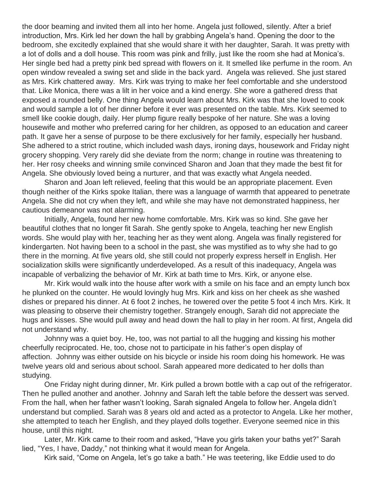the door beaming and invited them all into her home. Angela just followed, silently. After a brief introduction, Mrs. Kirk led her down the hall by grabbing Angela's hand. Opening the door to the bedroom, she excitedly explained that she would share it with her daughter, Sarah. It was pretty with a lot of dolls and a doll house. This room was pink and frilly, just like the room she had at Monica's. Her single bed had a pretty pink bed spread with flowers on it. It smelled like perfume in the room. An open window revealed a swing set and slide in the back yard. Angela was relieved. She just stared as Mrs. Kirk chattered away. Mrs. Kirk was trying to make her feel comfortable and she understood that. Like Monica, there was a lilt in her voice and a kind energy. She wore a gathered dress that exposed a rounded belly. One thing Angela would learn about Mrs. Kirk was that she loved to cook and would sample a lot of her dinner before it ever was presented on the table. Mrs. Kirk seemed to smell like cookie dough, daily. Her plump figure really bespoke of her nature. She was a loving housewife and mother who preferred caring for her children, as opposed to an education and career path. It gave her a sense of purpose to be there exclusively for her family, especially her husband. She adhered to a strict routine, which included wash days, ironing days, housework and Friday night grocery shopping. Very rarely did she deviate from the norm; change in routine was threatening to her. Her rosy cheeks and winning smile convinced Sharon and Joan that they made the best fit for Angela. She obviously loved being a nurturer, and that was exactly what Angela needed.

Sharon and Joan left relieved, feeling that this would be an appropriate placement. Even though neither of the Kirks spoke Italian, there was a language of warmth that appeared to penetrate Angela. She did not cry when they left, and while she may have not demonstrated happiness, her cautious demeanor was not alarming.

Initially, Angela, found her new home comfortable. Mrs. Kirk was so kind. She gave her beautiful clothes that no longer fit Sarah. She gently spoke to Angela, teaching her new English words. She would play with her, teaching her as they went along. Angela was finally registered for kindergarten. Not having been to a school in the past, she was mystified as to why she had to go there in the morning. At five years old, she still could not properly express herself in English. Her socialization skills were significantly underdeveloped. As a result of this inadequacy, Angela was incapable of verbalizing the behavior of Mr. Kirk at bath time to Mrs. Kirk, or anyone else.

Mr. Kirk would walk into the house after work with a smile on his face and an empty lunch box he plunked on the counter. He would lovingly hug Mrs. Kirk and kiss on her cheek as she washed dishes or prepared his dinner. At 6 foot 2 inches, he towered over the petite 5 foot 4 inch Mrs. Kirk. It was pleasing to observe their chemistry together. Strangely enough, Sarah did not appreciate the hugs and kisses. She would pull away and head down the hall to play in her room. At first, Angela did not understand why.

Johnny was a quiet boy. He, too, was not partial to all the hugging and kissing his mother cheerfully reciprocated. He, too, chose not to participate in his father's open display of affection. Johnny was either outside on his bicycle or inside his room doing his homework. He was twelve years old and serious about school. Sarah appeared more dedicated to her dolls than studying.

One Friday night during dinner, Mr. Kirk pulled a brown bottle with a cap out of the refrigerator. Then he pulled another and another. Johnny and Sarah left the table before the dessert was served. From the hall, when her father wasn't looking, Sarah signaled Angela to follow her. Angela didn't understand but complied. Sarah was 8 years old and acted as a protector to Angela. Like her mother, she attempted to teach her English, and they played dolls together. Everyone seemed nice in this house, until this night.

Later, Mr. Kirk came to their room and asked, "Have you girls taken your baths yet?" Sarah lied, "Yes, I have, Daddy," not thinking what it would mean for Angela.

Kirk said, "Come on Angela, let's go take a bath." He was teetering, like Eddie used to do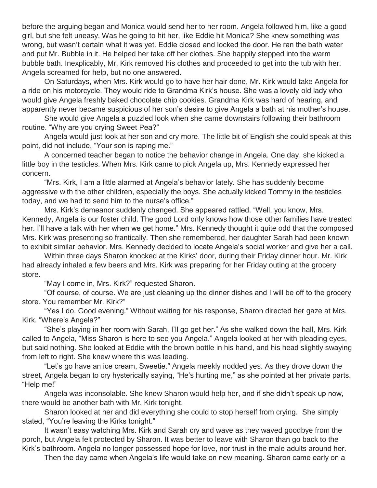before the arguing began and Monica would send her to her room. Angela followed him, like a good girl, but she felt uneasy. Was he going to hit her, like Eddie hit Monica? She knew something was wrong, but wasn't certain what it was yet. Eddie closed and locked the door. He ran the bath water and put Mr. Bubble in it. He helped her take off her clothes. She happily stepped into the warm bubble bath. Inexplicably, Mr. Kirk removed his clothes and proceeded to get into the tub with her. Angela screamed for help, but no one answered.

On Saturdays, when Mrs. Kirk would go to have her hair done, Mr. Kirk would take Angela for a ride on his motorcycle. They would ride to Grandma Kirk's house. She was a lovely old lady who would give Angela freshly baked chocolate chip cookies. Grandma Kirk was hard of hearing, and apparently never became suspicious of her son's desire to give Angela a bath at his mother's house.

She would give Angela a puzzled look when she came downstairs following their bathroom routine. "Why are you crying Sweet Pea?"

Angela would just look at her son and cry more. The little bit of English she could speak at this point, did not include, "Your son is raping me."

A concerned teacher began to notice the behavior change in Angela. One day, she kicked a little boy in the testicles. When Mrs. Kirk came to pick Angela up, Mrs. Kennedy expressed her concern.

"Mrs. Kirk, I am a little alarmed at Angela's behavior lately. She has suddenly become aggressive with the other children, especially the boys. She actually kicked Tommy in the testicles today, and we had to send him to the nurse's office."

Mrs. Kirk's demeanor suddenly changed. She appeared rattled. "Well, you know, Mrs. Kennedy, Angela is our foster child. The good Lord only knows how those other families have treated her. I'll have a talk with her when we get home." Mrs. Kennedy thought it quite odd that the composed Mrs. Kirk was presenting so frantically. Then she remembered, her daughter Sarah had been known to exhibit similar behavior. Mrs. Kennedy decided to locate Angela's social worker and give her a call.

Within three days Sharon knocked at the Kirks' door, during their Friday dinner hour. Mr. Kirk had already inhaled a few beers and Mrs. Kirk was preparing for her Friday outing at the grocery store.

"May I come in, Mrs. Kirk?" requested Sharon.

"Of course, of course. We are just cleaning up the dinner dishes and I will be off to the grocery store. You remember Mr. Kirk?"

"Yes I do. Good evening." Without waiting for his response, Sharon directed her gaze at Mrs. Kirk. "Where's Angela?"

"She's playing in her room with Sarah, I'll go get her." As she walked down the hall, Mrs. Kirk called to Angela, "Miss Sharon is here to see you Angela." Angela looked at her with pleading eyes, but said nothing. She looked at Eddie with the brown bottle in his hand, and his head slightly swaying from left to right. She knew where this was leading.

"Let's go have an ice cream, Sweetie." Angela meekly nodded yes. As they drove down the street, Angela began to cry hysterically saying, "He's hurting me," as she pointed at her private parts. "Help me!"

Angela was inconsolable. She knew Sharon would help her, and if she didn't speak up now, there would be another bath with Mr. Kirk tonight.

Sharon looked at her and did everything she could to stop herself from crying. She simply stated, "You're leaving the Kirks tonight."

It wasn't easy watching Mrs. Kirk and Sarah cry and wave as they waved goodbye from the porch, but Angela felt protected by Sharon. It was better to leave with Sharon than go back to the Kirk's bathroom. Angela no longer possessed hope for love, nor trust in the male adults around her.

Then the day came when Angela's life would take on new meaning. Sharon came early on a